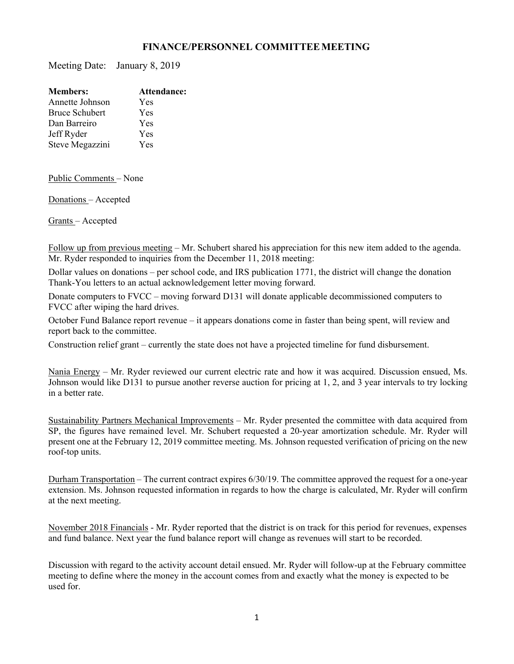## **FINANCE/PERSONNEL COMMITTEE MEETING**

Meeting Date: January 8, 2019

| <b>Members:</b>       | Attendance: |
|-----------------------|-------------|
| Annette Johnson       | Yes         |
| <b>Bruce Schubert</b> | Yes         |
| Dan Barreiro          | Yes         |
| Jeff Ryder            | Yes         |
| Steve Megazzini       | Yes         |

Public Comments – None

Donations – Accepted

Grants – Accepted

Follow up from previous meeting – Mr. Schubert shared his appreciation for this new item added to the agenda. Mr. Ryder responded to inquiries from the December 11, 2018 meeting:

Dollar values on donations – per school code, and IRS publication 1771, the district will change the donation Thank-You letters to an actual acknowledgement letter moving forward.

Donate computers to FVCC – moving forward D131 will donate applicable decommissioned computers to FVCC after wiping the hard drives.

October Fund Balance report revenue – it appears donations come in faster than being spent, will review and report back to the committee.

Construction relief grant – currently the state does not have a projected timeline for fund disbursement.

Nania Energy – Mr. Ryder reviewed our current electric rate and how it was acquired. Discussion ensued, Ms. Johnson would like D131 to pursue another reverse auction for pricing at 1, 2, and 3 year intervals to try locking in a better rate.

Sustainability Partners Mechanical Improvements – Mr. Ryder presented the committee with data acquired from SP, the figures have remained level. Mr. Schubert requested a 20-year amortization schedule. Mr. Ryder will present one at the February 12, 2019 committee meeting. Ms. Johnson requested verification of pricing on the new roof-top units.

Durham Transportation – The current contract expires 6/30/19. The committee approved the request for a one-year extension. Ms. Johnson requested information in regards to how the charge is calculated, Mr. Ryder will confirm at the next meeting.

November 2018 Financials - Mr. Ryder reported that the district is on track for this period for revenues, expenses and fund balance. Next year the fund balance report will change as revenues will start to be recorded.

Discussion with regard to the activity account detail ensued. Mr. Ryder will follow-up at the February committee meeting to define where the money in the account comes from and exactly what the money is expected to be used for.